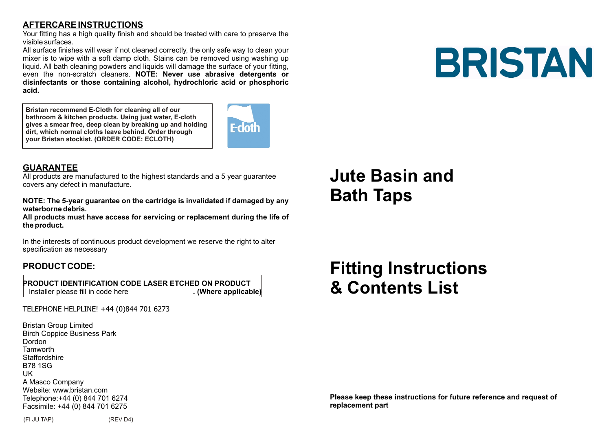### **AFTERCARE INSTRUCTIONS**

Your fitting has a high quality finish and should be treated with care to preserve the visible surfaces.

All surface finishes will wear if not cleaned correctly, the only safe way to clean your mixer is to wipe with a soft damp cloth. Stains can be removed using washing up liquid. All bath cleaning powders and liquids will damage the surface of your fitting, even the non-scratch cleaners. **NOTE: Never use abrasive detergents or disinfectants or those containing alcohol, hydrochloric acid or phosphoric acid.**

**Bristan recommend E-Cloth for cleaning all of our bathroom & kitchen products. Using just water, E-cloth gives a smear free, deep clean by breaking up and holding dirt, which normal cloths leave behind. Order through your Bristan stockist. (ORDER CODE: ECLOTH)**



#### **GUARANTEE**

All products are manufactured to the highest standards and a 5 year guarantee covers any defect in manufacture.

**NOTE: The 5-year guarantee on the cartridge is invalidated if damaged by any waterborne debris.**

**All products must have access for servicing or replacement during the life of the product.**

In the interests of continuous product development we reserve the right to alter specification as necessary

#### **PRODUCT CODE:**

 **PRODUCT IDENTIFICATION CODE LASER ETCHED ON PRODUCT** Installer please fill in code here **. (Where applicable)**

#### TELEPHONE HELPLINE! +44 (0)844 701 6273

Bristan Group Limited Birch Coppice Business Park Dordon **Tamworth** Staffordshire B78 1SG UK A Masco Company Website: www.bristan.com Telephone:+44 (0) 844 701 6274 Facsimile: +44 (0) 844 701 6275

## **Jute Basin and Bath Taps**

**Fitting Instructions & Contents List**

#### **Please keep these instructions for future reference and request of replacement part**

**BRISTAN** 

(FI JU TAP) (REV D4)